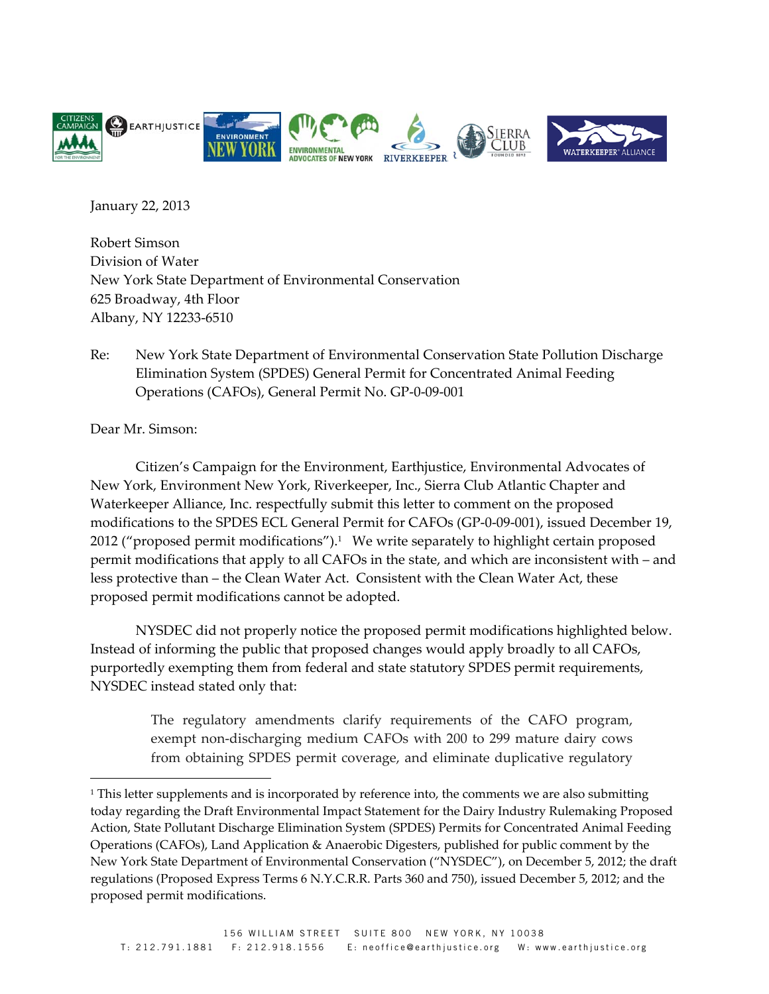

January 22, 2013

Robert Simson Division of Water New York State Department of Environmental Conservation 625 Broadway, 4th Floor Albany, NY 12233‐6510

Re: New York State Department of Environmental Conservation State Pollution Discharge Elimination System (SPDES) General Permit for Concentrated Animal Feeding Operations (CAFOs), General Permit No. GP‐0‐09‐001

Dear Mr. Simson:

 $\overline{a}$ 

Citizen's Campaign for the Environment, Earthjustice, Environmental Advocates of New York, Environment New York, Riverkeeper, Inc., Sierra Club Atlantic Chapter and Waterkeeper Alliance, Inc. respectfully submit this letter to comment on the proposed modifications to the SPDES ECL General Permit for CAFOs (GP-0-09-001), issued December 19, 2012 ("proposed permit modifications").<sup>1</sup> We write separately to highlight certain proposed permit modifications that apply to all CAFOs in the state, and which are inconsistent with – and less protective than – the Clean Water Act. Consistent with the Clean Water Act, these proposed permit modifications cannot be adopted.

NYSDEC did not properly notice the proposed permit modifications highlighted below. Instead of informing the public that proposed changes would apply broadly to all CAFOs, purportedly exempting them from federal and state statutory SPDES permit requirements, NYSDEC instead stated only that:

> The regulatory amendments clarify requirements of the CAFO program, exempt non-discharging medium CAFOs with 200 to 299 mature dairy cows from obtaining SPDES permit coverage, and eliminate duplicative regulatory

<sup>&</sup>lt;sup>1</sup> This letter supplements and is incorporated by reference into, the comments we are also submitting today regarding the Draft Environmental Impact Statement for the Dairy Industry Rulemaking Proposed Action, State Pollutant Discharge Elimination System (SPDES) Permits for Concentrated Animal Feeding Operations (CAFOs), Land Application & Anaerobic Digesters, published for public comment by the New York State Department of Environmental Conservation ("NYSDEC"), on December 5, 2012; the draft regulations (Proposed Express Terms 6 N.Y.C.R.R. Parts 360 and 750), issued December 5, 2012; and the proposed permit modifications.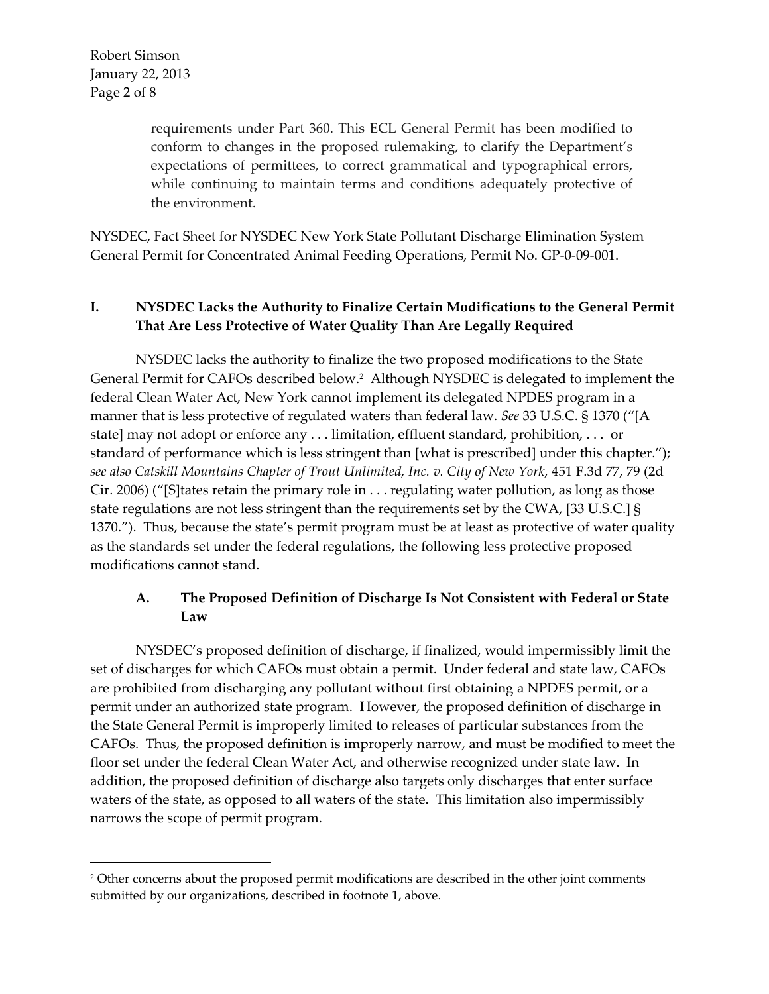Robert Simson January 22, 2013 Page 2 of 8

 $\overline{a}$ 

requirements under Part 360. This ECL General Permit has been modified to conform to changes in the proposed rulemaking, to clarify the Department's expectations of permittees, to correct grammatical and typographical errors, while continuing to maintain terms and conditions adequately protective of the environment.

NYSDEC, Fact Sheet for NYSDEC New York State Pollutant Discharge Elimination System General Permit for Concentrated Animal Feeding Operations, Permit No. GP‐0‐09‐001.

## **I. NYSDEC Lacks the Authority to Finalize Certain Modifications to the General Permit That Are Less Protective of Water Quality Than Are Legally Required**

NYSDEC lacks the authority to finalize the two proposed modifications to the State General Permit for CAFOs described below.2 Although NYSDEC is delegated to implement the federal Clean Water Act, New York cannot implement its delegated NPDES program in a manner that is less protective of regulated waters than federal law. *See* 33 U.S.C. § 1370 ("[A state] may not adopt or enforce any . . . limitation, effluent standard, prohibition, . . . or standard of performance which is less stringent than [what is prescribed] under this chapter."); *see also Catskill Mountains Chapter of Trout Unlimited, Inc. v. City of New York*, 451 F.3d 77, 79 (2d Cir. 2006) ("[S]tates retain the primary role in . . . regulating water pollution, as long as those state regulations are not less stringent than the requirements set by the CWA, [33 U.S.C.] § 1370."). Thus, because the state's permit program must be at least as protective of water quality as the standards set under the federal regulations, the following less protective proposed modifications cannot stand.

## **A. The Proposed Definition of Discharge Is Not Consistent with Federal or State Law**

NYSDEC's proposed definition of discharge, if finalized, would impermissibly limit the set of discharges for which CAFOs must obtain a permit. Under federal and state law, CAFOs are prohibited from discharging any pollutant without first obtaining a NPDES permit, or a permit under an authorized state program. However, the proposed definition of discharge in the State General Permit is improperly limited to releases of particular substances from the CAFOs. Thus, the proposed definition is improperly narrow, and must be modified to meet the floor set under the federal Clean Water Act, and otherwise recognized under state law. In addition, the proposed definition of discharge also targets only discharges that enter surface waters of the state, as opposed to all waters of the state. This limitation also impermissibly narrows the scope of permit program.

<sup>&</sup>lt;sup>2</sup> Other concerns about the proposed permit modifications are described in the other joint comments submitted by our organizations, described in footnote 1, above.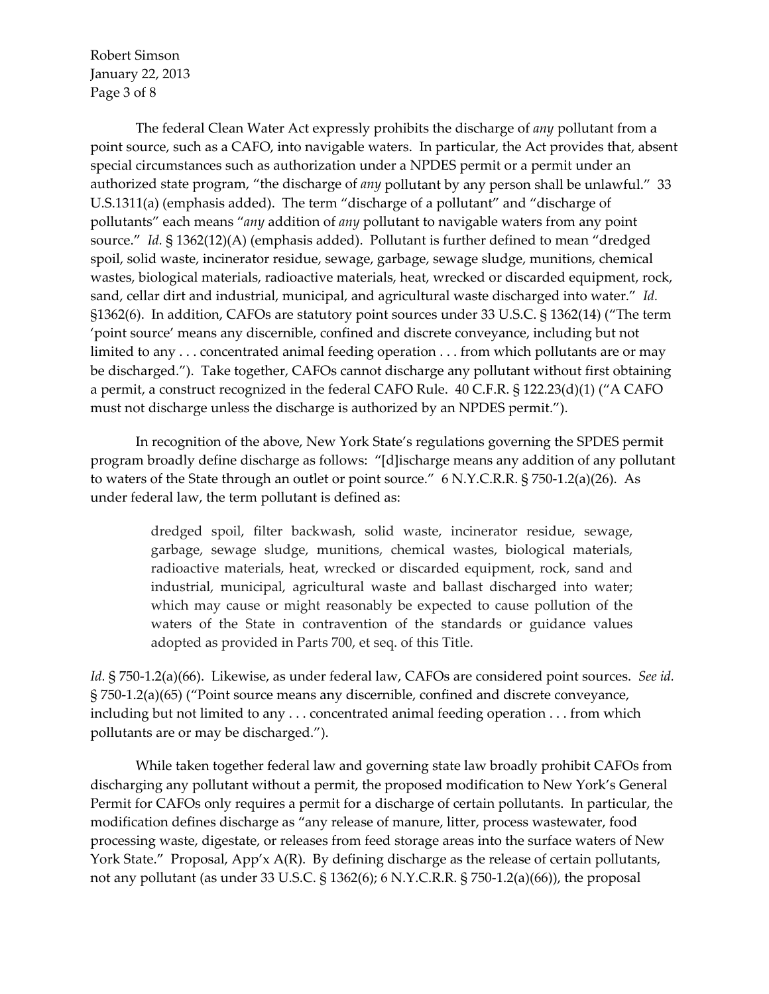Robert Simson January 22, 2013 Page 3 of 8

The federal Clean Water Act expressly prohibits the discharge of *any* pollutant from a point source, such as a CAFO, into navigable waters. In particular, the Act provides that, absent special circumstances such as authorization under a NPDES permit or a permit under an authorized state program, "the discharge of *any* pollutant by any person shall be unlawful." 33 U.S.1311(a) (emphasis added). The term "discharge of a pollutant" and "discharge of pollutants" each means "*any* addition of *any* pollutant to navigable waters from any point source." *Id.* § 1362(12)(A) (emphasis added). Pollutant is further defined to mean "dredged spoil, solid waste, incinerator residue, sewage, garbage, sewage sludge, munitions, chemical wastes, biological materials, radioactive materials, heat, wrecked or discarded equipment, rock, sand, cellar dirt and industrial, municipal, and agricultural waste discharged into water." *Id.* §1362(6). In addition, CAFOs are statutory point sources under 33 U.S.C. § 1362(14) ("The term 'point source' means any discernible, confined and discrete conveyance, including but not limited to any . . . concentrated animal feeding operation . . . from which pollutants are or may be discharged."). Take together, CAFOs cannot discharge any pollutant without first obtaining a permit, a construct recognized in the federal CAFO Rule. 40 C.F.R. § 122.23(d)(1) ("A CAFO must not discharge unless the discharge is authorized by an NPDES permit.").

In recognition of the above, New York State's regulations governing the SPDES permit program broadly define discharge as follows: "[d]ischarge means any addition of any pollutant to waters of the State through an outlet or point source." 6 N.Y.C.R.R. § 750-1.2(a)(26). As under federal law, the term pollutant is defined as:

> dredged spoil, filter backwash, solid waste, incinerator residue, sewage, garbage, sewage sludge, munitions, chemical wastes, biological materials, radioactive materials, heat, wrecked or discarded equipment, rock, sand and industrial, municipal, agricultural waste and ballast discharged into water; which may cause or might reasonably be expected to cause pollution of the waters of the State in contravention of the standards or guidance values adopted as provided in Parts 700, et seq. of this Title.

*Id.* § 750‐1.2(a)(66). Likewise, as under federal law, CAFOs are considered point sources. *See id.* § 750‐1.2(a)(65) ("Point source means any discernible, confined and discrete conveyance, including but not limited to any . . . concentrated animal feeding operation . . . from which pollutants are or may be discharged.").

While taken together federal law and governing state law broadly prohibit CAFOs from discharging any pollutant without a permit, the proposed modification to New York's General Permit for CAFOs only requires a permit for a discharge of certain pollutants. In particular, the modification defines discharge as "any release of manure, litter, process wastewater, food processing waste, digestate, or releases from feed storage areas into the surface waters of New York State." Proposal, App'x A(R). By defining discharge as the release of certain pollutants, not any pollutant (as under 33 U.S.C. § 1362(6); 6 N.Y.C.R.R. § 750-1.2(a)(66)), the proposal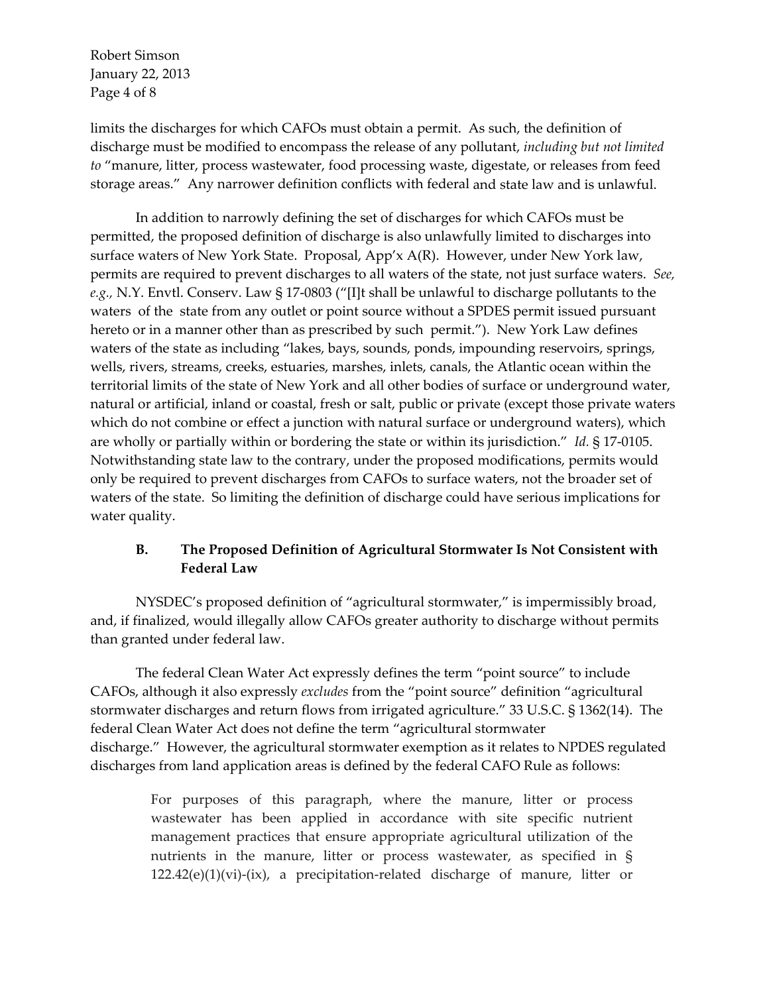Robert Simson January 22, 2013 Page 4 of 8

limits the discharges for which CAFOs must obtain a permit. As such, the definition of discharge must be modified to encompass the release of any pollutant, *including but not limited to* "manure, litter, process wastewater, food processing waste, digestate, or releases from feed storage areas." Any narrower definition conflicts with federal and state law and is unlawful.

In addition to narrowly defining the set of discharges for which CAFOs must be permitted, the proposed definition of discharge is also unlawfully limited to discharges into surface waters of New York State. Proposal, App'x A(R). However, under New York law, permits are required to prevent discharges to all waters of the state, not just surface waters. *See, e.g.,* N.Y. Envtl. Conserv. Law § 17‐0803 ("[I]t shall be unlawful to discharge pollutants to the waters of the state from any outlet or point source without a SPDES permit issued pursuant hereto or in a manner other than as prescribed by such permit."). New York Law defines waters of the state as including "lakes, bays, sounds, ponds, impounding reservoirs, springs, wells, rivers, streams, creeks, estuaries, marshes, inlets, canals, the Atlantic ocean within the territorial limits of the state of New York and all other bodies of surface or underground water, natural or artificial, inland or coastal, fresh or salt, public or private (except those private waters which do not combine or effect a junction with natural surface or underground waters), which are wholly or partially within or bordering the state or within its jurisdiction." *Id.* § 17‐0105. Notwithstanding state law to the contrary, under the proposed modifications, permits would only be required to prevent discharges from CAFOs to surface waters, not the broader set of waters of the state. So limiting the definition of discharge could have serious implications for water quality.

## **B. The Proposed Definition of Agricultural Stormwater Is Not Consistent with Federal Law**

NYSDEC's proposed definition of "agricultural stormwater," is impermissibly broad, and, if finalized, would illegally allow CAFOs greater authority to discharge without permits than granted under federal law.

The federal Clean Water Act expressly defines the term "point source" to include CAFOs, although it also expressly *excludes* from the "point source" definition "agricultural stormwater discharges and return flows from irrigated agriculture." 33 U.S.C. § 1362(14). The federal Clean Water Act does not define the term "agricultural stormwater discharge." However, the agricultural stormwater exemption as it relates to NPDES regulated discharges from land application areas is defined by the federal CAFO Rule as follows:

> For purposes of this paragraph, where the manure, litter or process wastewater has been applied in accordance with site specific nutrient management practices that ensure appropriate agricultural utilization of the nutrients in the manure, litter or process wastewater, as specified in §  $122.42(e)(1)(vi)-(ix)$ , a precipitation-related discharge of manure, litter or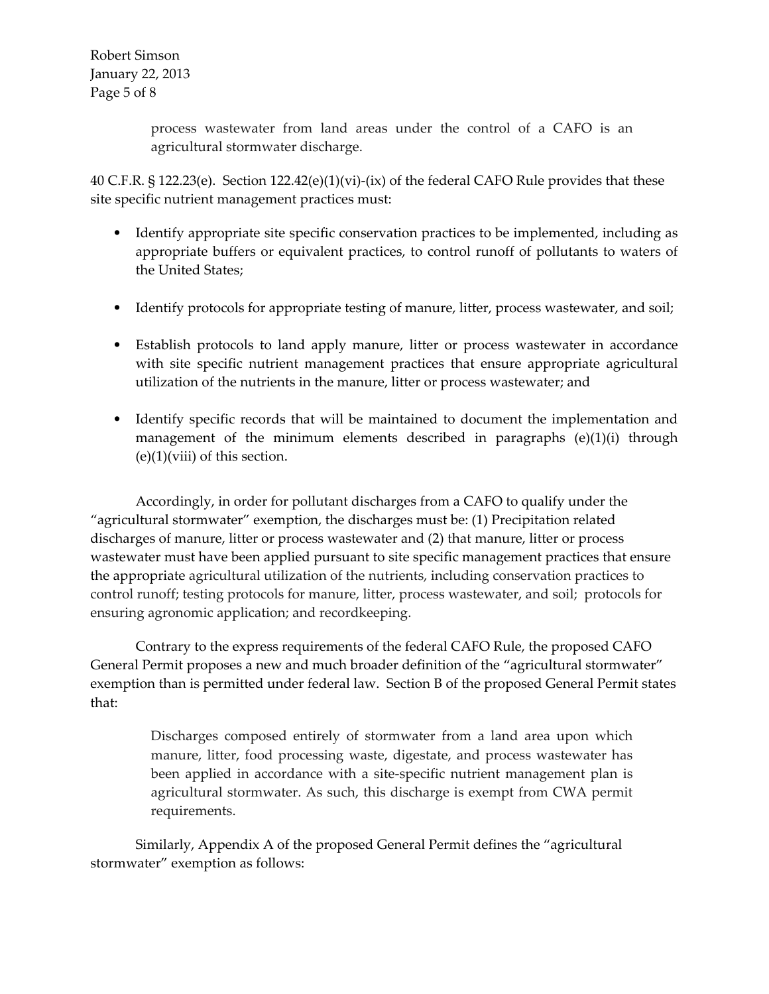Robert Simson January 22, 2013 Page 5 of 8

> process wastewater from land areas under the control of a CAFO is an agricultural stormwater discharge.

40 C.F.R. § 122.23(e). Section  $122.42(e)(1)(vi)-(ix)$  of the federal CAFO Rule provides that these site specific nutrient management practices must:

- Identify appropriate site specific conservation practices to be implemented, including as appropriate buffers or equivalent practices, to control runoff of pollutants to waters of the United States;
- Identify protocols for appropriate testing of manure, litter, process wastewater, and soil;
- Establish protocols to land apply manure, litter or process wastewater in accordance with site specific nutrient management practices that ensure appropriate agricultural utilization of the nutrients in the manure, litter or process wastewater; and
- Identify specific records that will be maintained to document the implementation and management of the minimum elements described in paragraphs  $(e)(1)(i)$  through  $(e)(1)(viii)$  of this section.

Accordingly, in order for pollutant discharges from a CAFO to qualify under the "agricultural stormwater" exemption, the discharges must be: (1) Precipitation related discharges of manure, litter or process wastewater and (2) that manure, litter or process wastewater must have been applied pursuant to site specific management practices that ensure the appropriate agricultural utilization of the nutrients, including conservation practices to control runoff; testing protocols for manure, litter, process wastewater, and soil; protocols for ensuring agronomic application; and recordkeeping.

Contrary to the express requirements of the federal CAFO Rule, the proposed CAFO General Permit proposes a new and much broader definition of the "agricultural stormwater" exemption than is permitted under federal law. Section B of the proposed General Permit states that:

> Discharges composed entirely of stormwater from a land area upon which manure, litter, food processing waste, digestate, and process wastewater has been applied in accordance with a site‐specific nutrient management plan is agricultural stormwater. As such, this discharge is exempt from CWA permit requirements.

Similarly, Appendix A of the proposed General Permit defines the "agricultural stormwater" exemption as follows: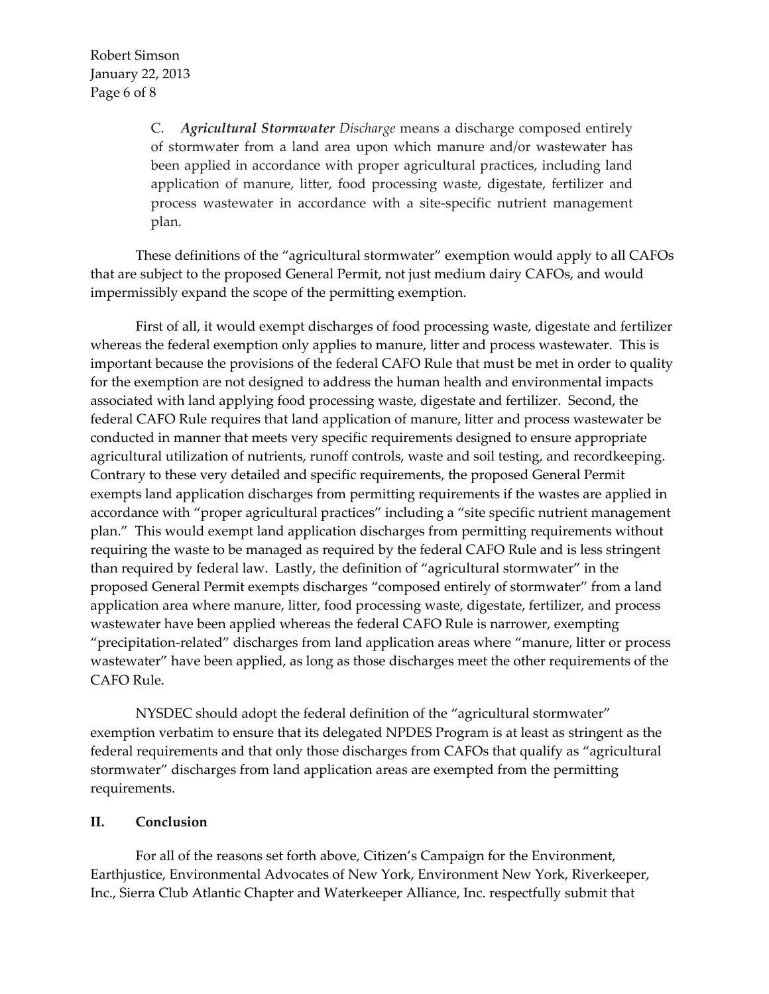C. *Agricultural Stormwater Discharge* means a discharge composed entirely of stormwater from a land area upon which manure and/or wastewater has been applied in accordance with proper agricultural practices, including land application of manure, litter, food processing waste, digestate, fertilizer and process wastewater in accordance with a site‐specific nutrient management plan.

These definitions of the "agricultural stormwater" exemption would apply to all CAFOs that are subject to the proposed General Permit, not just medium dairy CAFOs, and would impermissibly expand the scope of the permitting exemption.

First of all, it would exempt discharges of food processing waste, digestate and fertilizer whereas the federal exemption only applies to manure, litter and process wastewater. This is important because the provisions of the federal CAFO Rule that must be met in order to quality for the exemption are not designed to address the human health and environmental impacts associated with land applying food processing waste, digestate and fertilizer. Second, the federal CAFO Rule requires that land application of manure, litter and process wastewater be conducted in manner that meets very specific requirements designed to ensure appropriate agricultural utilization of nutrients, runoff controls, waste and soil testing, and recordkeeping. Contrary to these very detailed and specific requirements, the proposed General Permit exempts land application discharges from permitting requirements if the wastes are applied in accordance with "proper agricultural practices" including a "site specific nutrient management plan." This would exempt land application discharges from permitting requirements without requiring the waste to be managed as required by the federal CAFO Rule and is less stringent than required by federal law. Lastly, the definition of "agricultural stormwater" in the proposed General Permit exempts discharges "composed entirely of stormwater" from a land application area where manure, litter, food processing waste, digestate, fertilizer, and process wastewater have been applied whereas the federal CAFO Rule is narrower, exempting "precipitation‐related" discharges from land application areas where "manure, litter or process wastewater" have been applied, as long as those discharges meet the other requirements of the CAFO Rule.

NYSDEC should adopt the federal definition of the "agricultural stormwater" exemption verbatim to ensure that its delegated NPDES Program is at least as stringent as the federal requirements and that only those discharges from CAFOs that qualify as "agricultural stormwater" discharges from land application areas are exempted from the permitting requirements.

## **II. Conclusion**

For all of the reasons set forth above, Citizen's Campaign for the Environment, Earthjustice, Environmental Advocates of New York, Environment New York, Riverkeeper, Inc., Sierra Club Atlantic Chapter and Waterkeeper Alliance, Inc. respectfully submit that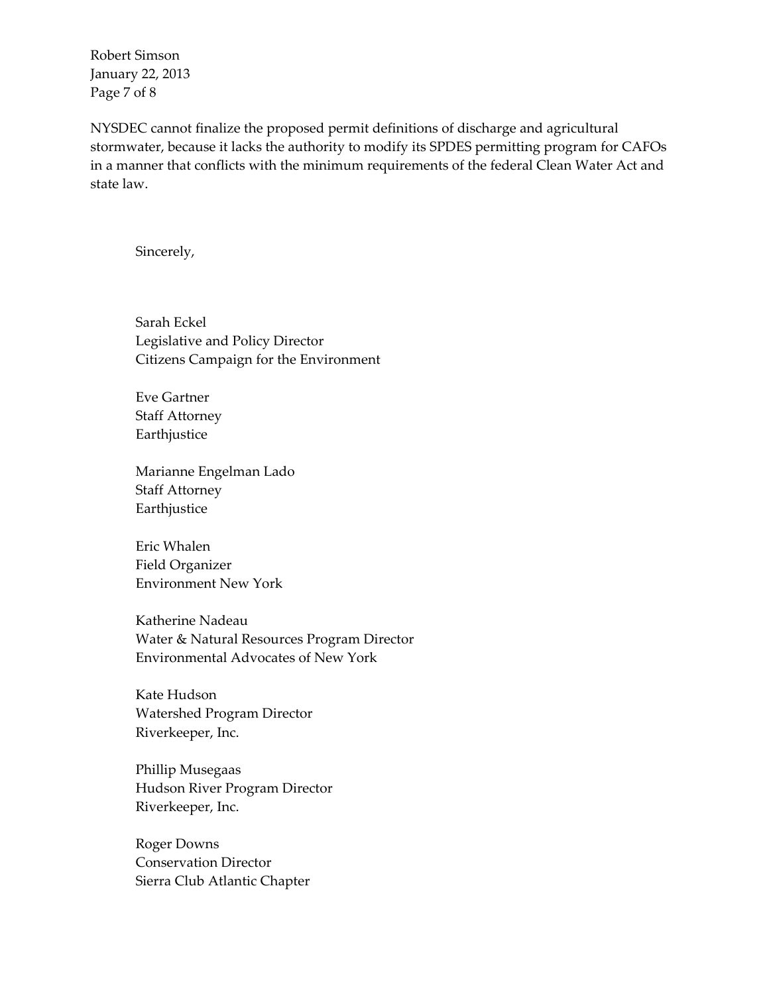Robert Simson January 22, 2013 Page 7 of 8

NYSDEC cannot finalize the proposed permit definitions of discharge and agricultural stormwater, because it lacks the authority to modify its SPDES permitting program for CAFOs in a manner that conflicts with the minimum requirements of the federal Clean Water Act and state law.

Sincerely,

Sarah Eckel Legislative and Policy Director Citizens Campaign for the Environment

Eve Gartner Staff Attorney Earthjustice

Marianne Engelman Lado Staff Attorney Earthjustice

Eric Whalen Field Organizer Environment New York

Katherine Nadeau Water & Natural Resources Program Director Environmental Advocates of New York

Kate Hudson Watershed Program Director Riverkeeper, Inc.

Phillip Musegaas Hudson River Program Director Riverkeeper, Inc.

Roger Downs Conservation Director Sierra Club Atlantic Chapter